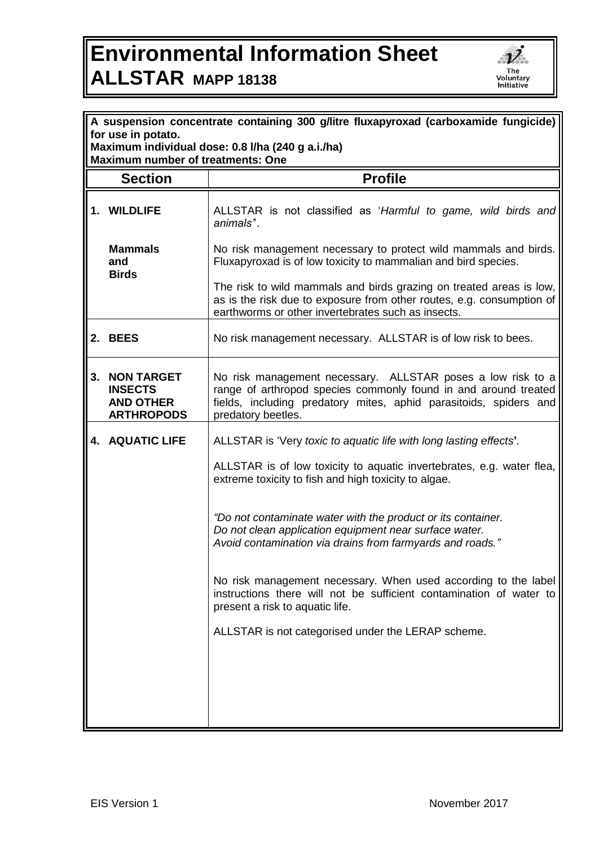## **Environmental Information Sheet ALLSTAR MAPP 18138**



| A suspension concentrate containing 300 g/litre fluxapyroxad (carboxamide fungicide) |                                                                                                                                                                                                                           |  |
|--------------------------------------------------------------------------------------|---------------------------------------------------------------------------------------------------------------------------------------------------------------------------------------------------------------------------|--|
| for use in potato.<br>Maximum individual dose: 0.8 l/ha (240 g a.i./ha)              |                                                                                                                                                                                                                           |  |
|                                                                                      | <b>Maximum number of treatments: One</b><br><b>Profile</b>                                                                                                                                                                |  |
| <b>Section</b>                                                                       |                                                                                                                                                                                                                           |  |
| 1. WILDLIFE                                                                          | ALLSTAR is not classified as 'Harmful to game, wild birds and<br>animals".                                                                                                                                                |  |
| <b>Mammals</b><br>and<br><b>Birds</b>                                                | No risk management necessary to protect wild mammals and birds.<br>Fluxapyroxad is of low toxicity to mammalian and bird species.                                                                                         |  |
|                                                                                      | The risk to wild mammals and birds grazing on treated areas is low,<br>as is the risk due to exposure from other routes, e.g. consumption of<br>earthworms or other invertebrates such as insects.                        |  |
| 2. BEES                                                                              | No risk management necessary. ALLSTAR is of low risk to bees.                                                                                                                                                             |  |
| 3.<br><b>NON TARGET</b><br><b>INSECTS</b><br><b>AND OTHER</b><br><b>ARTHROPODS</b>   | No risk management necessary. ALLSTAR poses a low risk to a<br>range of arthropod species commonly found in and around treated<br>fields, including predatory mites, aphid parasitoids, spiders and<br>predatory beetles. |  |
| <b>4. AQUATIC LIFE</b>                                                               | ALLSTAR is 'Very toxic to aquatic life with long lasting effects'.                                                                                                                                                        |  |
|                                                                                      | ALLSTAR is of low toxicity to aquatic invertebrates, e.g. water flea,<br>extreme toxicity to fish and high toxicity to algae.                                                                                             |  |
|                                                                                      | "Do not contaminate water with the product or its container.<br>Do not clean application equipment near surface water.<br>Avoid contamination via drains from farmyards and roads."                                       |  |
|                                                                                      | No risk management necessary. When used according to the label<br>instructions there will not be sufficient contamination of water to<br>present a risk to aquatic life.                                                  |  |
|                                                                                      | ALLSTAR is not categorised under the LERAP scheme.                                                                                                                                                                        |  |
|                                                                                      |                                                                                                                                                                                                                           |  |
|                                                                                      |                                                                                                                                                                                                                           |  |